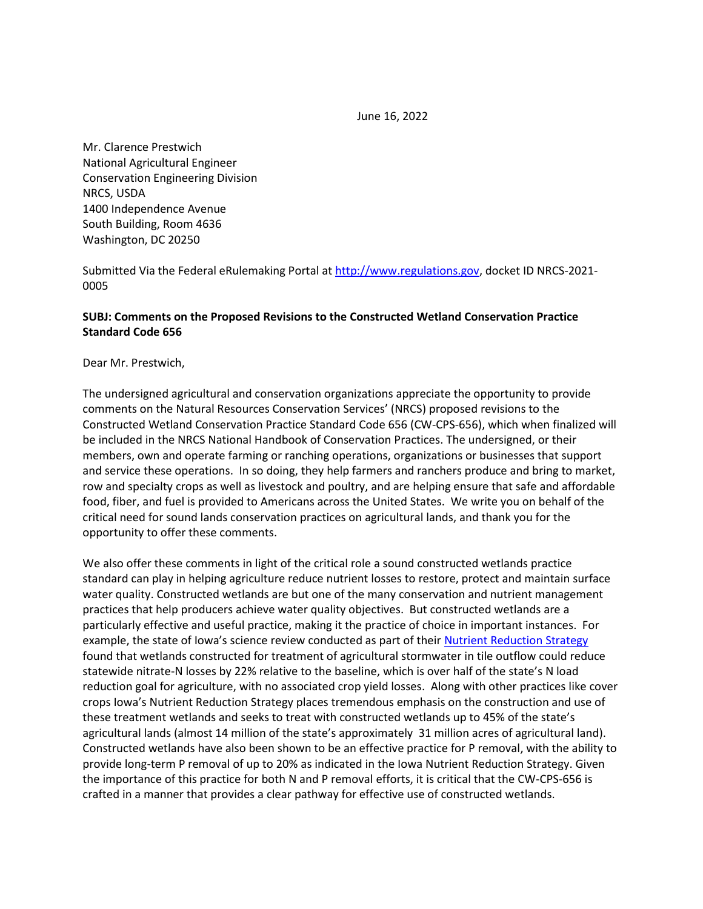June 16, 2022

Mr. Clarence Prestwich National Agricultural Engineer Conservation Engineering Division NRCS, USDA 1400 Independence Avenue South Building, Room 4636 Washington, DC 20250

Submitted Via the Federal eRulemaking Portal at [http://www.regulations.gov,](http://www.regulations.gov/) docket ID NRCS-2021- 0005

## **SUBJ: Comments on the Proposed Revisions to the Constructed Wetland Conservation Practice Standard Code 656**

Dear Mr. Prestwich,

The undersigned agricultural and conservation organizations appreciate the opportunity to provide comments on the Natural Resources Conservation Services' (NRCS) proposed revisions to the Constructed Wetland Conservation Practice Standard Code 656 (CW-CPS-656), which when finalized will be included in the NRCS National Handbook of Conservation Practices. The undersigned, or their members, own and operate farming or ranching operations, organizations or businesses that support and service these operations. In so doing, they help farmers and ranchers produce and bring to market, row and specialty crops as well as livestock and poultry, and are helping ensure that safe and affordable food, fiber, and fuel is provided to Americans across the United States. We write you on behalf of the critical need for sound lands conservation practices on agricultural lands, and thank you for the opportunity to offer these comments.

We also offer these comments in light of the critical role a sound constructed wetlands practice standard can play in helping agriculture reduce nutrient losses to restore, protect and maintain surface water quality. Constructed wetlands are but one of the many conservation and nutrient management practices that help producers achieve water quality objectives. But constructed wetlands are a particularly effective and useful practice, making it the practice of choice in important instances. For example, the state of Iowa's science review conducted as part of their Nutrient Reduction Strategy found that wetlands constructed for treatment of agricultural stormwater in tile outflow could reduce statewide nitrate-N losses by 22% relative to the baseline, which is over half of the state's N load reduction goal for agriculture, with no associated crop yield losses. Along with other practices like cover crops Iowa's Nutrient Reduction Strategy places tremendous emphasis on the construction and use of these treatment wetlands and seeks to treat with constructed wetlands up to 45% of the state's agricultural lands (almost 14 million of the state's approximately 31 million acres of agricultural land). Constructed wetlands have also been shown to be an effective practice for P removal, with the ability to provide long-term P removal of up to 20% as indicated in the Iowa Nutrient Reduction Strategy. Given the importance of this practice for both N and P removal efforts, it is critical that the CW-CPS-656 is crafted in a manner that provides a clear pathway for effective use of constructed wetlands.